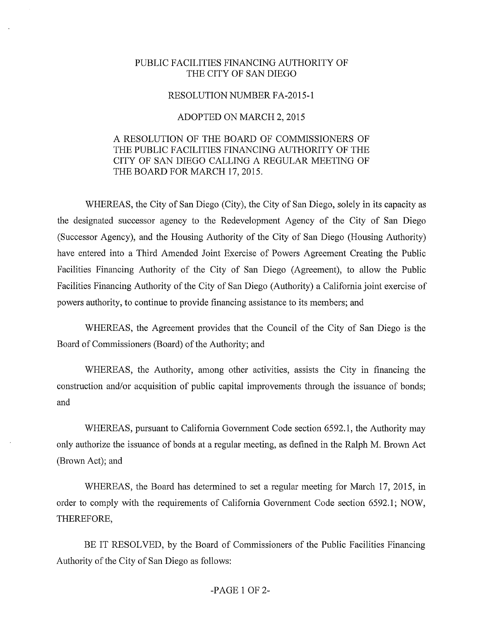## PUBLIC FACILITIES FINANCING AUTHORITY OF THE CITY OF SAN DIEGO

## RESOLUTION NUMBER FA-2015-1

## ADOPTED ON MARCH 2, 2015

## A RESOLUTION OF THE BOARD OF COMMISSIONERS OF THE PUBLIC FACILITIES FINANCING AUTHORITY OF THE CITY OF SAN DIEGO CALLING A REGULAR MEETING OF THE BOARD FOR MARCH 17, 2015.

WHEREAS, the City of San Diego (City), the City of San Diego, solely in its capacity as the designated successor agency to the Redevelopment Agency of the City of San Diego (Successor Agency), and the Housing Authority of the City of San Diego (Housing Authority) have entered into a Third Amended Joint Exercise of Powers Agreement Creating the Public Facilities Financing Authority of the City of San Diego (Agreement), to allow the Public Facilities Financing Authority of the City of San Diego (Authority) a California joint exercise of powers authority, to continue to provide financing assistance to its members; and

WHEREAS, the Agreement provides that the Council of the City of San Diego is the Board of Commissioners (Board) of the Authority; and

WHEREAS, the Authority, among other activities, assists the City in financing the construction and/or acquisition of public capital improvements through the issuance of bonds; and

WHEREAS, pursuant to California Government Code section 6592.1, the Authority may only authorize the issuance of bonds at a regular meeting, as defined in the Ralph M. Brown Act (Brown Act); and

WHEREAS, the Board has determined to set a regular meeting for March 17, 2015, in order to comply with the requirements of California Government Code section 6592.1; NOW, THEREFORE,

BE IT RESOLVED, by the Board of Commissioners of the Public Facilities Financing Authority of the City of San Diego as follows: